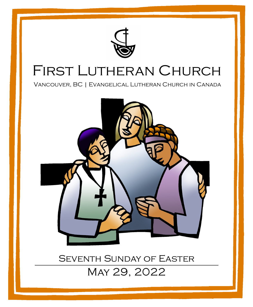

## First Lutheran Church

Vancouver, BC | Evangelical Lutheran Church in Canada

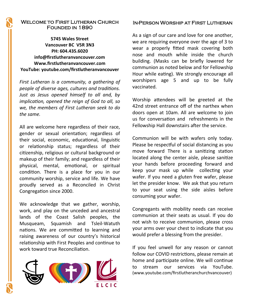#### Welcome to First Lutheran Church Founded in 1890

**5745 Wales Street Vancouver BC V5R 3N3 PH: 604.435.6020 info@firstlutheranvancouver.com Www.firstlutheranvancouver.com YouTube: youtube.com/firstlutheranvancouver**

*First Lutheran is a community, a gathering of people of diverse ages, cultures and traditions. Just as Jesus opened himself to all and, by implication, opened the reign of God to all, so we, the members of First Lutheran seek to do the same.* 

All are welcome here regardless of their race, gender or sexual orientation; regardless of their social, economic, educational, linguistic or relationship status; regardless of their citizenship, religious or cultural background or makeup of their family; and regardless of their physical, mental, emotional, or spiritual condition. There is a place for you in our community worship, service and life. We have proudly served as a Reconciled in Christ Congregation since 2000.

We acknowledge that we gather, worship, work, and play on the unceded and ancestral lands of the Coast Salish peoples, the Musqueam, Squamish and Tsleil-Watuth nations. We are committed to learning and raising awareness of our country's historical relationship with First Peoples and continue to work toward true Reconciliation.



#### In-Person Worship at First Lutheran

As a sign of our care and love for one another, we are requiring everyone over the age of 3 to wear a properly fitted mask covering both nose and mouth while inside the church building. (Masks can be briefly lowered for communion as noted below and for Fellowship Hour while eating). We strongly encourage all worshipers age 5 and up to be fully vaccinated.

Worship attendees will be greeted at the 42nd street entrance off of the narthex when doors open at 10am. All are welcome to join us for conversation and refreshments in the Fellowship Hall downstairs after the service.

Communion will be with wafers only today. Please be respectful of social distancing as you move forward There is a sanitizing station located along the center aisle, please sanitize your hands before proceeding forward and keep your mask up while collecting your wafer. If you need a gluten free wafer, please let the presider know. We ask that you return to your seat using the side aisles before consuming your wafer.

Congregants with mobility needs can receive communion at their seats as usual. If you do not wish to receive communion, please cross your arms over your chest to indicate that you would prefer a blessing from the presider.

If you feel unwell for any reason or cannot follow our COVID restrictions, please remain at home and participate online. We will continue to stream our services via YouTube. (www.youtube.com/firstlutheranchurchvancouver)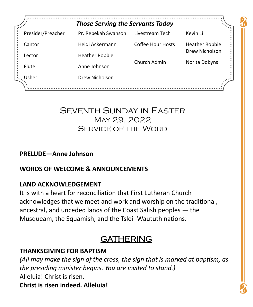| <b>Those Serving the Servants Today</b> |                       |                   |                       |
|-----------------------------------------|-----------------------|-------------------|-----------------------|
| Presider/Preacher                       | Pr. Rebekah Swanson   | Livestream Tech   | Kevin Li              |
| Cantor                                  | Heidi Ackermann       | Coffee Hour Hosts | <b>Heather Robbie</b> |
| Lector                                  | <b>Heather Robbie</b> |                   | Drew Nicholson        |
| Flute                                   | Anne Johnson          | Church Admin      | Norita Dobyns         |
| Usher                                   | Drew Nicholson        |                   |                       |

## Seventh Sunday in Easter May 29, 2022 Service of the Word

#### **PRELUDE—Anne Johnson**

## **WORDS OF WELCOME & ANNOUNCEMENTS**

#### **LAND ACKNOWLEDGEMENT**

It is with a heart for reconciliation that First Lutheran Church acknowledges that we meet and work and worship on the traditional, ancestral, and unceded lands of the Coast Salish peoples — the Musqueam, the Squamish, and the Tsleil-Waututh nations.

## GATHERING

## **THANKSGIVING FOR BAPTISM**

*(All may make the sign of the cross, the sign that is marked at baptism, as the presiding minister begins. You are invited to stand.)* Alleluia! Christ is risen. **Christ is risen indeed. Alleluia!**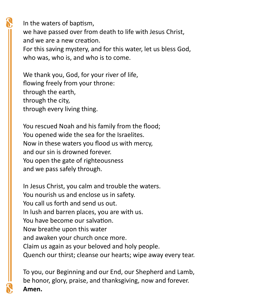In the waters of baptism, we have passed over from death to life with Jesus Christ, and we are a new creation. For this saving mystery, and for this water, let us bless God, who was, who is, and who is to come.

We thank you, God, for your river of life, flowing freely from your throne: through the earth, through the city, through every living thing.

You rescued Noah and his family from the flood; You opened wide the sea for the Israelites. Now in these waters you flood us with mercy, and our sin is drowned forever. You open the gate of righteousness and we pass safely through.

In Jesus Christ, you calm and trouble the waters. You nourish us and enclose us in safety. You call us forth and send us out. In lush and barren places, you are with us. You have become our salvation. Now breathe upon this water and awaken your church once more. Claim us again as your beloved and holy people. Quench our thirst; cleanse our hearts; wipe away every tear.

To you, our Beginning and our End, our Shepherd and Lamb, be honor, glory, praise, and thanksgiving, now and forever. **Amen.**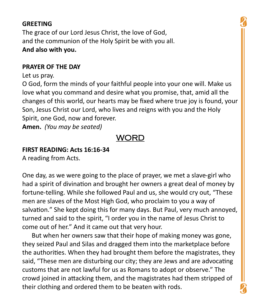#### **GREETING**

The grace of our Lord Jesus Christ, the love of God, and the communion of the Holy Spirit be with you all. **And also with you.**

#### **PRAYER OF THE DAY**

Let us pray.

O God, form the minds of your faithful people into your one will. Make us love what you command and desire what you promise, that, amid all the changes of this world, our hearts may be fixed where true joy is found, your Son, Jesus Christ our Lord, who lives and reigns with you and the Holy Spirit, one God, now and forever.

**Amen.** *(You may be seated)*

## WORD

#### **FIRST READING: Acts 16:16-34**

A reading from Acts.

One day, as we were going to the place of prayer, we met a slave-girl who had a spirit of divination and brought her owners a great deal of money by fortune-telling. While she followed Paul and us, she would cry out, "These men are slaves of the Most High God, who proclaim to you a way of salvation." She kept doing this for many days. But Paul, very much annoyed, turned and said to the spirit, "I order you in the name of Jesus Christ to come out of her." And it came out that very hour.

 But when her owners saw that their hope of making money was gone, they seized Paul and Silas and dragged them into the marketplace before the authorities. When they had brought them before the magistrates, they said, "These men are disturbing our city; they are Jews and are advocating customs that are not lawful for us as Romans to adopt or observe." The crowd joined in attacking them, and the magistrates had them stripped of their clothing and ordered them to be beaten with rods.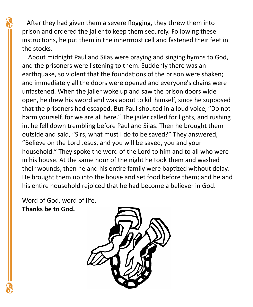After they had given them a severe flogging, they threw them into prison and ordered the jailer to keep them securely. Following these instructions, he put them in the innermost cell and fastened their feet in the stocks.

About midnight Paul and Silas were praying and singing hymns to God, and the prisoners were listening to them. Suddenly there was an earthquake, so violent that the foundations of the prison were shaken; and immediately all the doors were opened and everyone's chains were unfastened. When the jailer woke up and saw the prison doors wide open, he drew his sword and was about to kill himself, since he supposed that the prisoners had escaped. But Paul shouted in a loud voice, "Do not harm yourself, for we are all here." The jailer called for lights, and rushing in, he fell down trembling before Paul and Silas. Then he brought them outside and said, "Sirs, what must I do to be saved?" They answered, "Believe on the Lord Jesus, and you will be saved, you and your household." They spoke the word of the Lord to him and to all who were in his house. At the same hour of the night he took them and washed their wounds; then he and his entire family were baptized without delay. He brought them up into the house and set food before them; and he and his entire household rejoiced that he had become a believer in God.

Word of God, word of life. **Thanks be to God.**

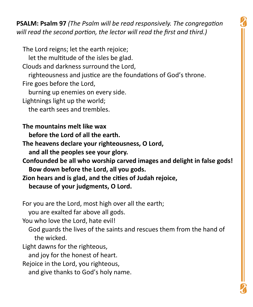**PSALM: Psalm 97** *(The Psalm will be read responsively. The congregation will read the second portion, the lector will read the first and third.)*

 The Lord reigns; let the earth rejoice; let the multitude of the isles be glad. Clouds and darkness surround the Lord, righteousness and justice are the foundations of God's throne. Fire goes before the Lord, burning up enemies on every side. Lightnings light up the world; the earth sees and trembles.

**The mountains melt like wax before the Lord of all the earth.**

**The heavens declare your righteousness, O Lord, and all the peoples see your glory.**

**Confounded be all who worship carved images and delight in false gods! Bow down before the Lord, all you gods.**

**Zion hears and is glad, and the cities of Judah rejoice, because of your judgments, O Lord.** 

For you are the Lord, most high over all the earth;

you are exalted far above all gods.

You who love the Lord, hate evil!

 God guards the lives of the saints and rescues them from the hand of the wicked.

Light dawns for the righteous,

and joy for the honest of heart.

Rejoice in the Lord, you righteous,

and give thanks to God's holy name.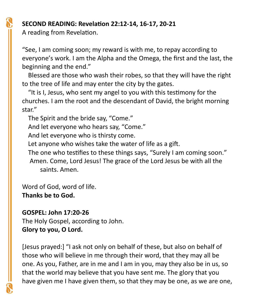## **SECOND READING: Revelation 22:12-14, 16-17, 20-21**

A reading from Revelation.

"See, I am coming soon; my reward is with me, to repay according to everyone's work. I am the Alpha and the Omega, the first and the last, the beginning and the end."

Blessed are those who wash their robes, so that they will have the right to the tree of life and may enter the city by the gates.

"It is I, Jesus, who sent my angel to you with this testimony for the churches. I am the root and the descendant of David, the bright morning star."

The Spirit and the bride say, "Come."

And let everyone who hears say, "Come."

And let everyone who is thirsty come.

Let anyone who wishes take the water of life as a gift.

The one who testifies to these things says, "Surely I am coming soon." Amen. Come, Lord Jesus! The grace of the Lord Jesus be with all the saints. Amen.

Word of God, word of life. **Thanks be to God.**

## **GOSPEL: John 17:20-26**

The Holy Gospel, according to John. **Glory to you, O Lord.**

[Jesus prayed:] "I ask not only on behalf of these, but also on behalf of those who will believe in me through their word, that they may all be one. As you, Father, are in me and I am in you, may they also be in us, so that the world may believe that you have sent me. The glory that you have given me I have given them, so that they may be one, as we are one,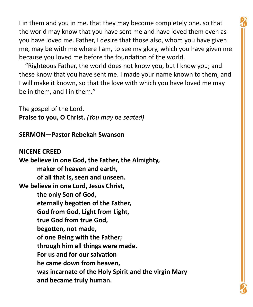I in them and you in me, that they may become completely one, so that the world may know that you have sent me and have loved them even as you have loved me. Father, I desire that those also, whom you have given me, may be with me where I am, to see my glory, which you have given me because you loved me before the foundation of the world.

"Righteous Father, the world does not know you, but I know you; and these know that you have sent me. I made your name known to them, and I will make it known, so that the love with which you have loved me may be in them, and I in them."

The gospel of the Lord. **Praise to you, O Christ.** *(You may be seated)*

**SERMON—Pastor Rebekah Swanson**

**NICENE CREED We believe in one God, the Father, the Almighty, maker of heaven and earth, of all that is, seen and unseen. We believe in one Lord, Jesus Christ, the only Son of God, eternally begotten of the Father, God from God, Light from Light, true God from true God, begotten, not made, of one Being with the Father; through him all things were made. For us and for our salvation he came down from heaven, was incarnate of the Holy Spirit and the virgin Mary and became truly human.**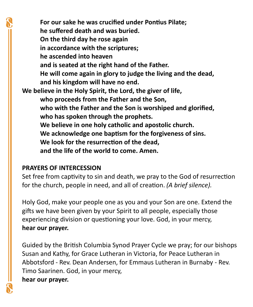**For our sake he was crucified under Pontius Pilate; he suffered death and was buried. On the third day he rose again in accordance with the scriptures; he ascended into heaven and is seated at the right hand of the Father. He will come again in glory to judge the living and the dead, and his kingdom will have no end. We believe in the Holy Spirit, the Lord, the giver of life, who proceeds from the Father and the Son, who with the Father and the Son is worshiped and glorified, who has spoken through the prophets. We believe in one holy catholic and apostolic church. We acknowledge one baptism for the forgiveness of sins. We look for the resurrection of the dead, and the life of the world to come. Amen.** 

#### **PRAYERS OF INTERCESSION**

Set free from captivity to sin and death, we pray to the God of resurrection for the church, people in need, and all of creation. *(A brief silence).*

Holy God, make your people one as you and your Son are one. Extend the gifts we have been given by your Spirit to all people, especially those experiencing division or questioning your love. God, in your mercy, **hear our prayer.**

Guided by the British Columbia Synod Prayer Cycle we pray; for our bishops Susan and Kathy, for Grace Lutheran in Victoria, for Peace Lutheran in Abbotsford - Rev. Dean Andersen, for Emmaus Lutheran in Burnaby - Rev. Timo Saarinen. God, in your mercy, **hear our prayer.**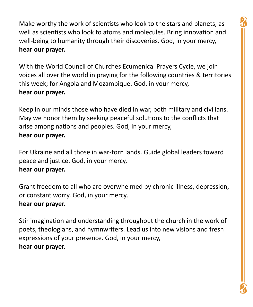Make worthy the work of scientists who look to the stars and planets, as well as scientists who look to atoms and molecules. Bring innovation and well-being to humanity through their discoveries. God, in your mercy, **hear our prayer.**

With the World Council of Churches Ecumenical Prayers Cycle, we join voices all over the world in praying for the following countries & territories this week; for Angola and Mozambique. God, in your mercy, **hear our prayer.**

Keep in our minds those who have died in war, both military and civilians. May we honor them by seeking peaceful solutions to the conflicts that arise among nations and peoples. God, in your mercy, **hear our prayer.**

For Ukraine and all those in war-torn lands. Guide global leaders toward peace and justice. God, in your mercy, **hear our prayer.**

Grant freedom to all who are overwhelmed by chronic illness, depression, or constant worry. God, in your mercy, **hear our prayer.**

Stir imagination and understanding throughout the church in the work of poets, theologians, and hymnwriters. Lead us into new visions and fresh expressions of your presence. God, in your mercy, **hear our prayer.**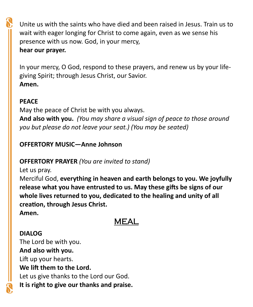Unite us with the saints who have died and been raised in Jesus. Train us to wait with eager longing for Christ to come again, even as we sense his presence with us now. God, in your mercy,

#### **hear our prayer.**

In your mercy, O God, respond to these prayers, and renew us by your lifegiving Spirit; through Jesus Christ, our Savior. **Amen.** 

## **PEACE**

May the peace of Christ be with you always. **And also with you.** *(You may share a visual sign of peace to those around you but please do not leave your seat.) (You may be seated)*

## **OFFERTORY MUSIC—Anne Johnson**

## **OFFERTORY PRAYER** *(You are invited to stand)*

Let us pray.

Merciful God, **everything in heaven and earth belongs to you. We joyfully release what you have entrusted to us. May these gifts be signs of our whole lives returned to you, dedicated to the healing and unity of all creation, through Jesus Christ.** 

**Amen.**

## MEAL

## **DIALOG** The Lord be with you. **And also with you.** Lift up your hearts. **We lift them to the Lord.** Let us give thanks to the Lord our God. **It is right to give our thanks and praise.**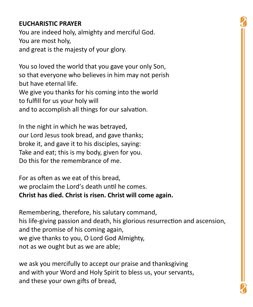## **EUCHARISTIC PRAYER**

You are indeed holy, almighty and merciful God. You are most holy, and great is the majesty of your glory.

You so loved the world that you gave your only Son, so that everyone who believes in him may not perish but have eternal life.

We give you thanks for his coming into the world to fulfill for us your holy will

and to accomplish all things for our salvation.

In the night in which he was betrayed, our Lord Jesus took bread, and gave thanks; broke it, and gave it to his disciples, saying: Take and eat; this is my body, given for you. Do this for the remembrance of me.

For as often as we eat of this bread, we proclaim the Lord's death until he comes. **Christ has died. Christ is risen. Christ will come again.**

Remembering, therefore, his salutary command, his life-giving passion and death, his glorious resurrection and ascension, and the promise of his coming again, we give thanks to you, O Lord God Almighty, not as we ought but as we are able;

we ask you mercifully to accept our praise and thanksgiving and with your Word and Holy Spirit to bless us, your servants, and these your own gifts of bread,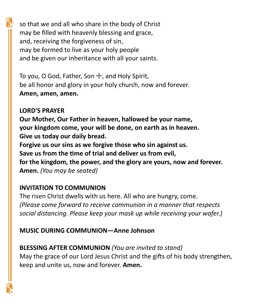so that we and all who share in the body of Christ may be filled with heavenly blessing and grace, and, receiving the forgiveness of sin, may be formed to live as your holy people and be given our inheritance with all your saints.

To you, O God, Father, Son  $\pm$ , and Holy Spirit, be all honor and glory in your holy church, now and forever. **Amen, amen, amen.**

**LORD'S PRAYER Our Mother, Our Father in heaven, hallowed be your name, your kingdom come, your will be done, on earth as in heaven. Give us today our daily bread. Forgive us our sins as we forgive those who sin against us. Save us from the time of trial and deliver us from evil, for the kingdom, the power, and the glory are yours, now and forever. Amen.** *(You may be seated)*

#### **INVITATION TO COMMUNION**

The risen Christ dwells with us here. All who are hungry, come. *(Please come forward to receive communion in a manner that respects social distancing. Please keep your mask up while receiving your wafer.)*

## **MUSIC DURING COMMUNION—Anne Johnson**

**BLESSING AFTER COMMUNION** *(You are invited to stand)* May the grace of our Lord Jesus Christ and the gifts of his body strengthen, keep and unite us, now and forever. **Amen.**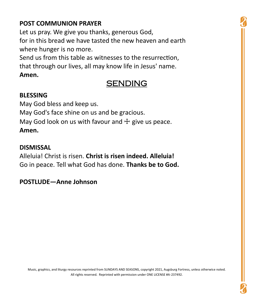## **POST COMMUNION PRAYER**

Let us pray. We give you thanks, generous God, for in this bread we have tasted the new heaven and earth where hunger is no more.

Send us from this table as witnesses to the resurrection, that through our lives, all may know life in Jesus' name. **Amen.**

## SENDING

#### **BLESSING**

May God bless and keep us. May God's face shine on us and be gracious. May God look on us with favour and  $+$  give us peace. **Amen.**

#### **DISMISSAL**

Alleluia! Christ is risen. **Christ is risen indeed. Alleluia!** Go in peace. Tell what God has done. **Thanks be to God.**

#### **POSTLUDE—Anne Johnson**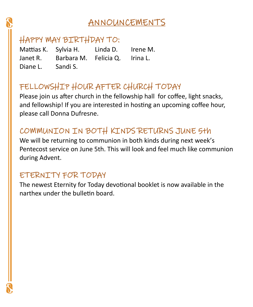## ANNOUNCEMENTS

## HAPPY MAY BIRTHDAY TO:

Diane L. Sandi S.

Mattias K. Sylvia H. Linda D. Irene M. Janet R. Barbara M. Felicia Q. Irina L.

## FELLOWSHIP HOUR AFTER CHURCH TODAY

Please join us after church in the fellowship hall for coffee, light snacks, and fellowship! If you are interested in hosting an upcoming coffee hour, please call Donna Dufresne.

## COMMUNION IN BOTH KINDS RETURNS JUNE 5th

We will be returning to communion in both kinds during next week's Pentecost service on June 5th. This will look and feel much like communion during Advent.

## ETERNITY FOR TODAY

The newest Eternity for Today devotional booklet is now available in the narthex under the bulletin board.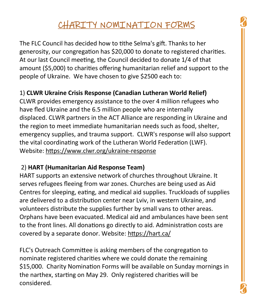## CHARITY NOMINATION FORMS

The FLC Council has decided how to tithe Selma's gift. Thanks to her generosity, our congregation has \$20,000 to donate to registered charities. At our last Council meeting, the Council decided to donate 1/4 of that amount (\$5,000) to charities offering humanitarian relief and support to the people of Ukraine. We have chosen to give \$2500 each to:

## 1) **CLWR Ukraine Crisis Response (Canadian Lutheran World Relief)**

CLWR provides emergency assistance to the over 4 million refugees who have fled Ukraine and the 6.5 million people who are internally displaced. CLWR partners in the ACT Alliance are responding in Ukraine and the region to meet immediate humanitarian needs such as food, shelter, emergency supplies, and trauma support. CLWR's response will also support the vital coordinating work of the Lutheran World Federation (LWF). Website: https://www.clwr.org/ukraine-response

#### 2) **HART (Humanitarian Aid Response Team)**

HART supports an extensive network of churches throughout Ukraine. It serves refugees fleeing from war zones. Churches are being used as Aid Centres for sleeping, eating, and medical aid supplies. Truckloads of supplies are delivered to a distribution center near Lviv, in western Ukraine, and volunteers distribute the supplies further by small vans to other areas. Orphans have been evacuated. Medical aid and ambulances have been sent to the front lines. All donations go directly to aid. Administration costs are covered by a separate donor. Website: https://hart.ca/

FLC's Outreach Committee is asking members of the congregation to nominate registered charities where we could donate the remaining \$15,000. Charity Nomination Forms will be available on Sunday mornings in the narthex, starting on May 29. Only registered charities will be considered.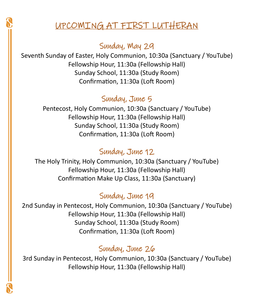## UPCOMING AT FIRST LUTHERAN

## Sunday, May 29

Seventh Sunday of Easter, Holy Communion, 10:30a (Sanctuary / YouTube) Fellowship Hour, 11:30a (Fellowship Hall) Sunday School, 11:30a (Study Room) Confirmation, 11:30a (Loft Room)

## Sunday, June 5

Pentecost, Holy Communion, 10:30a (Sanctuary / YouTube) Fellowship Hour, 11:30a (Fellowship Hall) Sunday School, 11:30a (Study Room) Confirmation, 11:30a (Loft Room)

## Sunday, June 12

The Holy Trinity, Holy Communion, 10:30a (Sanctuary / YouTube) Fellowship Hour, 11:30a (Fellowship Hall) Confirmation Make Up Class, 11:30a (Sanctuary)

## Sunday, June 19

2nd Sunday in Pentecost, Holy Communion, 10:30a (Sanctuary / YouTube) Fellowship Hour, 11:30a (Fellowship Hall) Sunday School, 11:30a (Study Room) Confirmation, 11:30a (Loft Room)

## Sunday, June 26

3rd Sunday in Pentecost, Holy Communion, 10:30a (Sanctuary / YouTube) Fellowship Hour, 11:30a (Fellowship Hall)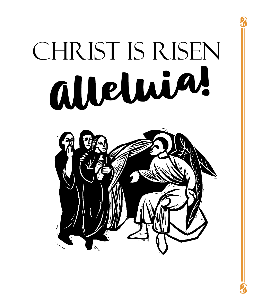# CHRIST IS RISEN alleluin!